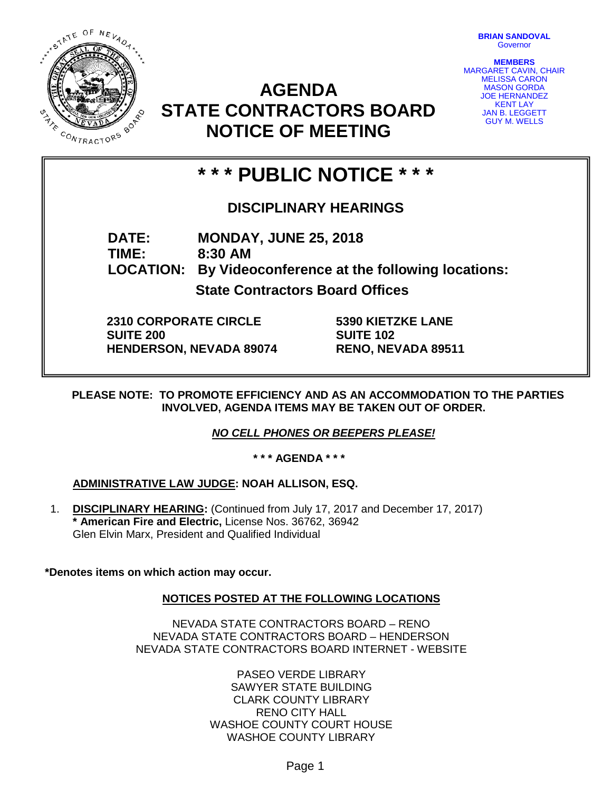STATE OF NEVADA **MAR** 03.18 CONTRACTORS

**BRIAN SANDOVAL Governor** 

**MEMBERS** MARGARET CAVIN, CHAIR MELISSA CARON MASON GORDA JOE HERNANDEZ KENT LAY JAN B. LEGGETT GUY M. WELLS

# **AGENDA STATE CONTRACTORS BOARD NOTICE OF MEETING**

# **\* \* \* PUBLIC NOTICE \* \* \***

## **DISCIPLINARY HEARINGS**

**DATE: MONDAY, JUNE 25, 2018 TIME: 8:30 AM LOCATION: By Videoconference at the following locations: State Contractors Board Offices**

**2310 CORPORATE CIRCLE SUITE 200 HENDERSON, NEVADA 89074** **5390 KIETZKE LANE SUITE 102 RENO, NEVADA 89511**

**PLEASE NOTE: TO PROMOTE EFFICIENCY AND AS AN ACCOMMODATION TO THE PARTIES INVOLVED, AGENDA ITEMS MAY BE TAKEN OUT OF ORDER.**

*NO CELL PHONES OR BEEPERS PLEASE!* 

**\* \* \* AGENDA \* \* \***

### **ADMINISTRATIVE LAW JUDGE: NOAH ALLISON, ESQ.**

1. **DISCIPLINARY HEARING:** (Continued from July 17, 2017 and December 17, 2017) **\* American Fire and Electric,** License Nos. 36762, 36942 Glen Elvin Marx, President and Qualified Individual

**\*Denotes items on which action may occur.**

### **NOTICES POSTED AT THE FOLLOWING LOCATIONS**

NEVADA STATE CONTRACTORS BOARD – RENO NEVADA STATE CONTRACTORS BOARD – HENDERSON NEVADA STATE CONTRACTORS BOARD INTERNET - WEBSITE

> PASEO VERDE LIBRARY SAWYER STATE BUILDING CLARK COUNTY LIBRARY RENO CITY HALL WASHOE COUNTY COURT HOUSE WASHOE COUNTY LIBRARY